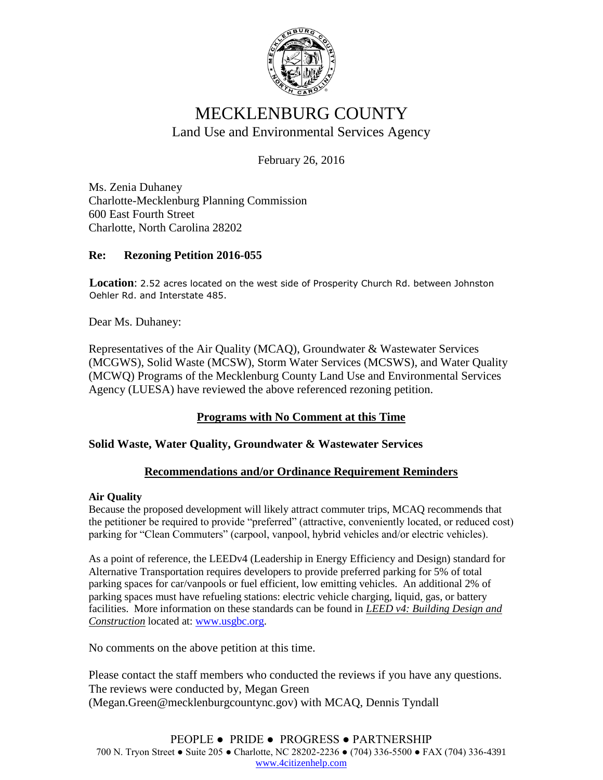

# MECKLENBURG COUNTY Land Use and Environmental Services Agency

February 26, 2016

Ms. Zenia Duhaney Charlotte-Mecklenburg Planning Commission 600 East Fourth Street Charlotte, North Carolina 28202

### **Re: Rezoning Petition 2016-055**

**Location**: 2.52 acres located on the west side of Prosperity Church Rd. between Johnston Oehler Rd. and Interstate 485.

Dear Ms. Duhaney:

Representatives of the Air Quality (MCAQ), Groundwater & Wastewater Services (MCGWS), Solid Waste (MCSW), Storm Water Services (MCSWS), and Water Quality (MCWQ) Programs of the Mecklenburg County Land Use and Environmental Services Agency (LUESA) have reviewed the above referenced rezoning petition.

## **Programs with No Comment at this Time**

#### **Solid Waste, Water Quality, Groundwater & Wastewater Services**

#### **Recommendations and/or Ordinance Requirement Reminders**

#### **Air Quality**

Because the proposed development will likely attract commuter trips, MCAQ recommends that the petitioner be required to provide "preferred" (attractive, conveniently located, or reduced cost) parking for "Clean Commuters" (carpool, vanpool, hybrid vehicles and/or electric vehicles).

As a point of reference, the LEEDv4 (Leadership in Energy Efficiency and Design) standard for Alternative Transportation requires developers to provide preferred parking for 5% of total parking spaces for car/vanpools or fuel efficient, low emitting vehicles. An additional 2% of parking spaces must have refueling stations: electric vehicle charging, liquid, gas, or battery facilities. More information on these standards can be found in *LEED v4: Building Design and Construction* located at: [www.usgbc.org.](http://www.usgbc.org/)

No comments on the above petition at this time.

Please contact the staff members who conducted the reviews if you have any questions. The reviews were conducted by, Megan Green (Megan.Green@mecklenburgcountync.gov) with MCAQ, Dennis Tyndall